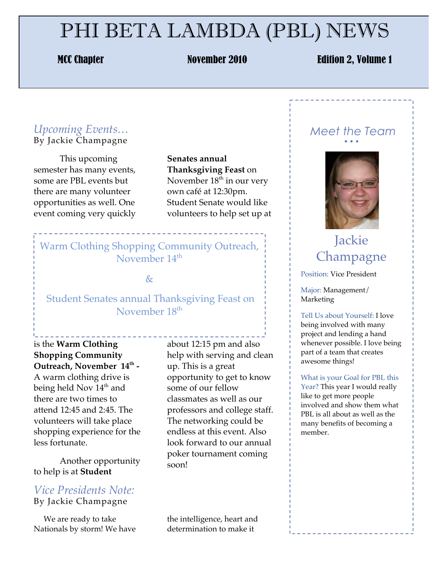# PHI BETA LAMBDA (PBL) NEWS

#### MCC Chapter November 2010 Edition 2, Volume 1

#### *Upcoming Events…* By Jackie Champagne

This upcoming semester has many events, some are PBL events but there are many volunteer opportunities as well. One event coming very quickly

**Senates annual Thanksgiving Feast** on November 18<sup>th</sup> in our very own café at 12:30pm. Student Senate would like volunteers to help set up at

## Warm Clothing Shopping Community Outreach, November 14<sup>th</sup>

#### $\&$

### Student Senates annual Thanksgiving Feast on November 18th

is the **Warm Clothing Shopping Community**  Outreach, November 14<sup>th</sup> -A warm clothing drive is being held Nov  $14<sup>th</sup>$  and there are two times to attend 12:45 and 2:45. The volunteers will take place shopping experience for the

Another opportunity to help is at **Student** 

less fortunate.

### *Vice Presidents Note:* By Jackie Champagne

 We are ready to take Nationals by storm! We have

about 12:15 pm and also help with serving and clean up. This is a great opportunity to get to know some of our fellow classmates as well as our professors and college staff. The networking could be endless at this event. Also look forward to our annual poker tournament coming soon!

the intelligence, heart and determination to make it

#### *Meet the Team* • • •



# Jackie **Champagne**

Position: Vice President

Major: Management/ Marketing

Tell Us about Yourself: I love being involved with many project and lending a hand whenever possible. I love being part of a team that creates awesome things!

What is your Goal for PBL this Year? This year I would really like to get more people involved and show them what PBL is all about as well as the many benefits of becoming a member.